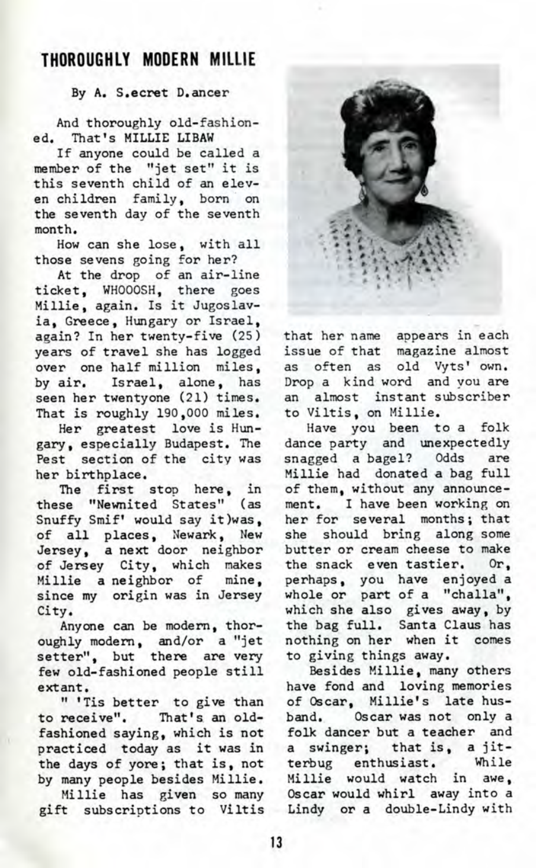## **THOROUGHLY MODERN MILLIE**

## By A. S.ecret D.ancer

And thoroughly old-fashioned. That's MILLIE LIBAW

If anyone could be called a member of the "jet set" it is this seventh child of an eleven children family, born on the seventh day of the seventh month.

How can she lose, with all those sevens going for her?

At the drop of an air-line ticket, WHOOOSH, there goes Millie, again. Is it Jugoslavia, Greece, Hungary or Israel, again? In her twenty-five (25) years of travel she has logged over one half million miles, by air. Israel, alone, has seen her twentyone (21) times. That is roughly 190,000 miles.

Her greatest love is Hungary, especially Budapest. The Pest section of the city was her birthplace.

The first stop here, in these "Newnited States" (as Snuffy Smif' would say it)was, of all places, Newark, New Jersey, a next door neighbor of Jersey City, which makes Millie a neighbor of mine, since my origin was in Jersey City.

Anyone can be modern, thoroughly modern, and/or a "jet setter", but there are very few old-fashioned people still extant.

" 'Tis better to give than to receive". That's an oldfashioned saying, which is not practiced today as it was in the days of yore; that is, not by many people besides Millie.

Millie has given so many gift subscriptions to Viltis



that her name appears in each issue of that magazine almost as often as old Vyts' own. Drop a kind word and you are an almost instant subscriber to Viltis, on Millie.

Have you been to a folk dance party and unexpectedly snagged a bagel? Odds are Millie had donated a bag full of them, without any announcement, I have been working on her for several months; that she should bring along some butter or cream cheese to make the snack even tastier. Or, perhaps, you have enjoyed a whole or part of a "challa", which she also gives away, by the bag full. Santa Claus has nothing on her when it comes to giving things away.

Besides Millie, many others have fond and loving memories of Oscar, Millie's late husband. Oscar was not only a folk dancer but a teacher and a swinger; that is, a jit-<br>terbug enthusiast. While terbug enthusiast. Millie would watch in awe, Oscar would whirl away into a Lindy or a double-Lindy with